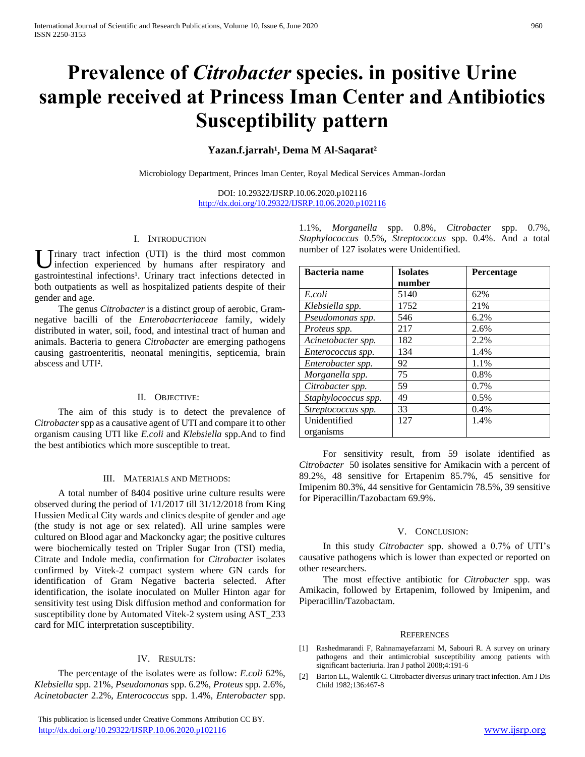# **Prevalence of** *Citrobacter* **species. in positive Urine sample received at Princess Iman Center and Antibiotics Susceptibility pattern**

## Yazan.f.jarrah<sup>1</sup>, Dema M Al-Saqarat<sup>2</sup>

Microbiology Department, Princes Iman Center, Royal Medical Services Amman-Jordan

DOI: 10.29322/IJSRP.10.06.2020.p102116 <http://dx.doi.org/10.29322/IJSRP.10.06.2020.p102116>

#### I. INTRODUCTION

Trinary tract infection (UTI) is the third most common infection experienced by humans after respiratory and gastrointestinal infections<sup>1</sup>. Urinary tract infections detected in both outpatients as well as hospitalized patients despite of their gender and age. U

 The genus *Citrobacter* is a distinct group of aerobic, Gramnegative bacilli of the *Enterobacrteriaceae* family, widely distributed in water, soil, food, and intestinal tract of human and animals. Bacteria to genera *Citrobacter* are emerging pathogens causing gastroenteritis, neonatal meningitis, septicemia, brain abscess and UTI².

### II. OBJECTIVE:

 The aim of this study is to detect the prevalence of *Citrobacter*spp as a causative agent of UTI and compare it to other organism causing UTI like *E.coli* and *Klebsiella* spp.And to find the best antibiotics which more susceptible to treat.

#### III. MATERIALS AND METHODS:

 A total number of 8404 positive urine culture results were observed during the period of 1/1/2017 till 31/12/2018 from King Hussien Medical City wards and clinics despite of gender and age (the study is not age or sex related). All urine samples were cultured on Blood agar and Mackoncky agar; the positive cultures were biochemically tested on Tripler Sugar Iron (TSI) media, Citrate and Indole media, confirmation for *Citrobacter* isolates confirmed by Vitek-2 compact system where GN cards for identification of Gram Negative bacteria selected. After identification, the isolate inoculated on Muller Hinton agar for sensitivity test using Disk diffusion method and conformation for susceptibility done by Automated Vitek-2 system using AST\_233 card for MIC interpretation susceptibility.

#### IV. RESULTS:

 The percentage of the isolates were as follow: *E.coli* 62%, *Klebsiella* spp. 21%, *Pseudomonas* spp. 6.2%, *Proteus* spp. 2.6%, *Acinetobacter* 2.2%, *Enterococcus* spp. 1.4%, *Enterobacter* spp.

 This publication is licensed under Creative Commons Attribution CC BY. <http://dx.doi.org/10.29322/IJSRP.10.06.2020.p102116> [www.ijsrp.org](http://ijsrp.org/)

1.1%, *Morganella* spp. 0.8%, *Citrobacter* spp. 0.7%, *Staphylococcus* 0.5%, *Streptococcus* spp. 0.4%. And a total number of 127 isolates were Unidentified.

| <b>Bacteria</b> name | <b>Isolates</b> | Percentage |
|----------------------|-----------------|------------|
|                      | number          |            |
| E.coli               | 5140            | 62%        |
| Klebsiella spp.      | 1752            | 21%        |
| Pseudomonas spp.     | 546             | 6.2%       |
| Proteus spp.         | 217             | 2.6%       |
| Acinetobacter spp.   | 182             | 2.2%       |
| Enterococcus spp.    | 134             | 1.4%       |
| Enterobacter spp.    | 92              | 1.1%       |
| Morganella spp.      | 75              | 0.8%       |
| Citrobacter spp.     | 59              | 0.7%       |
| Staphylococcus spp.  | 49              | 0.5%       |
| Streptococcus spp.   | 33              | 0.4%       |
| Unidentified         | 127             | 1.4%       |
| organisms            |                 |            |

 For sensitivity result, from 59 isolate identified as *Citrobacter* 50 isolates sensitive for Amikacin with a percent of 89.2%, 48 sensitive for Ertapenim 85.7%, 45 sensitive for Imipenim 80.3%, 44 sensitive for Gentamicin 78.5%, 39 sensitive for Piperacillin/Tazobactam 69.9%.

#### V. CONCLUSION:

 In this study *Citrobacter* spp. showed a 0.7% of UTI's causative pathogens which is lower than expected or reported on other researchers.

 The most effective antibiotic for *Citrobacter* spp. was Amikacin, followed by Ertapenim, followed by Imipenim, and Piperacillin/Tazobactam.

#### **REFERENCES**

- [1] Rashedmarandi F, Rahnamayefarzami M, Sabouri R. A survey on urinary pathogens and their antimicrobial susceptibility among patients with significant bacteriuria. Iran J pathol 2008;4:191-6
- [2] Barton LL, Walentik C. Citrobacter diversus urinary tract infection. Am J Dis Child 1982;136:467-8